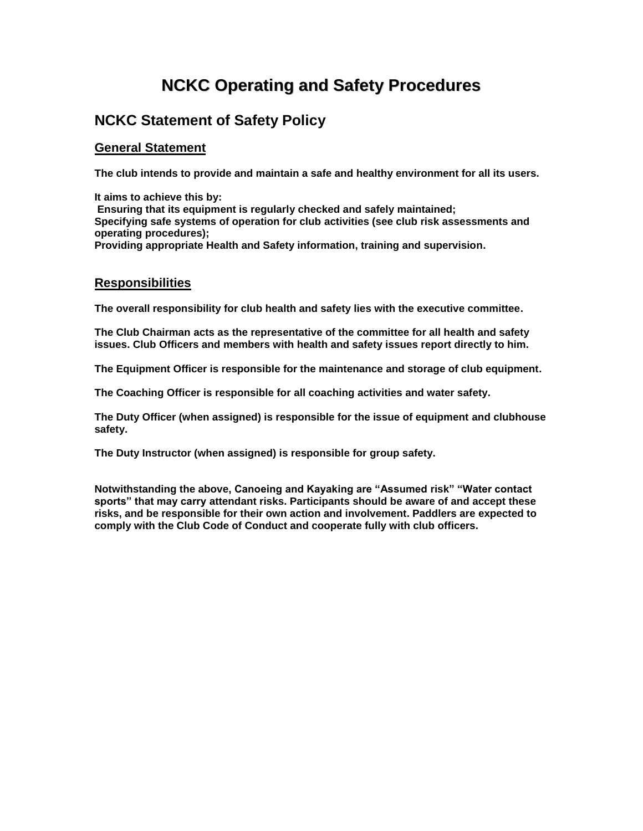# **NCKC Operating and Safety Procedures**

## **NCKC Statement of Safety Policy**

## **General Statement**

**The club intends to provide and maintain a safe and healthy environment for all its users.**

**It aims to achieve this by: Ensuring that its equipment is regularly checked and safely maintained; Specifying safe systems of operation for club activities (see club risk assessments and operating procedures); Providing appropriate Health and Safety information, training and supervision.**

## **Responsibilities**

**The overall responsibility for club health and safety lies with the executive committee.**

**The Club Chairman acts as the representative of the committee for all health and safety issues. Club Officers and members with health and safety issues report directly to him.**

**The Equipment Officer is responsible for the maintenance and storage of club equipment.**

**The Coaching Officer is responsible for all coaching activities and water safety.**

**The Duty Officer (when assigned) is responsible for the issue of equipment and clubhouse safety.**

**The Duty Instructor (when assigned) is responsible for group safety.**

**Notwithstanding the above, Canoeing and Kayaking are "Assumed risk" "Water contact sports" that may carry attendant risks. Participants should be aware of and accept these risks, and be responsible for their own action and involvement. Paddlers are expected to comply with the Club Code of Conduct and cooperate fully with club officers.**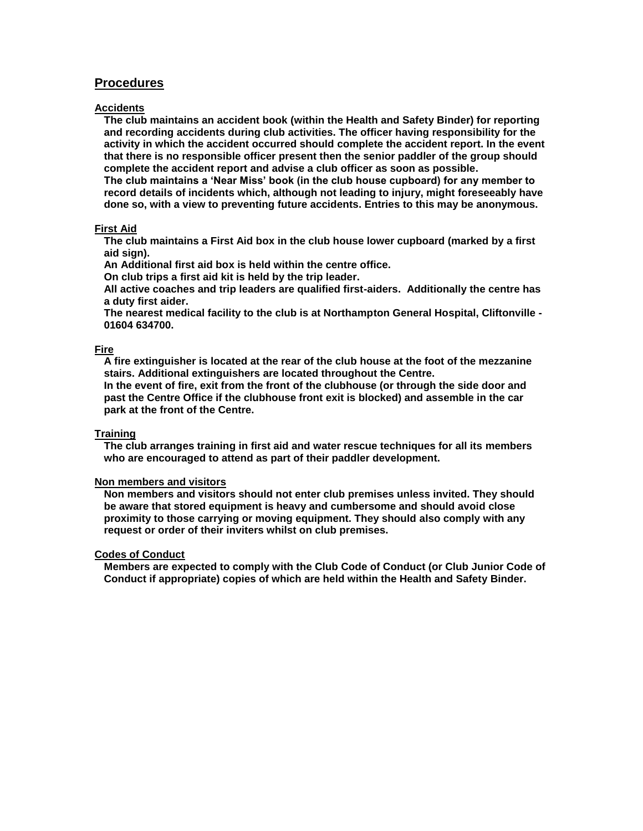### **Procedures**

#### **Accidents**

**The club maintains an accident book (within the Health and Safety Binder) for reporting and recording accidents during club activities. The officer having responsibility for the activity in which the accident occurred should complete the accident report. In the event that there is no responsible officer present then the senior paddler of the group should complete the accident report and advise a club officer as soon as possible.**

**The club maintains a 'Near Miss' book (in the club house cupboard) for any member to record details of incidents which, although not leading to injury, might foreseeably have done so, with a view to preventing future accidents. Entries to this may be anonymous.**

#### **First Aid**

**The club maintains a First Aid box in the club house lower cupboard (marked by a first aid sign).**

**An Additional first aid box is held within the centre office.**

**On club trips a first aid kit is held by the trip leader.**

**All active coaches and trip leaders are qualified first-aiders. Additionally the centre has a duty first aider.**

**The nearest medical facility to the club is at Northampton General Hospital, Cliftonville - 01604 634700.**

#### **Fire**

**A fire extinguisher is located at the rear of the club house at the foot of the mezzanine stairs. Additional extinguishers are located throughout the Centre.**

**In the event of fire, exit from the front of the clubhouse (or through the side door and past the Centre Office if the clubhouse front exit is blocked) and assemble in the car park at the front of the Centre.**

#### **Training**

**The club arranges training in first aid and water rescue techniques for all its members who are encouraged to attend as part of their paddler development.**

#### **Non members and visitors**

**Non members and visitors should not enter club premises unless invited. They should be aware that stored equipment is heavy and cumbersome and should avoid close proximity to those carrying or moving equipment. They should also comply with any request or order of their inviters whilst on club premises.** 

#### **Codes of Conduct**

**Members are expected to comply with the Club Code of Conduct (or Club Junior Code of Conduct if appropriate) copies of which are held within the Health and Safety Binder.**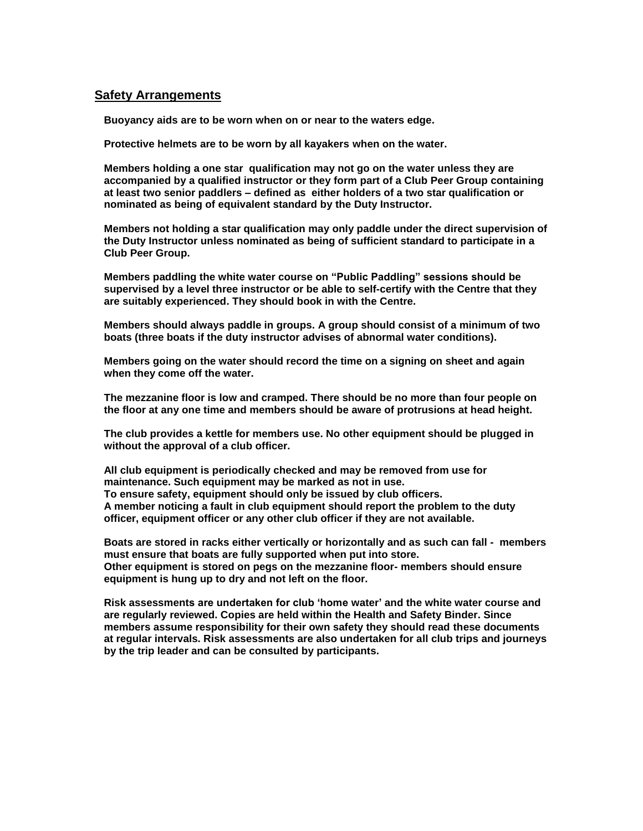## **Safety Arrangements**

**Buoyancy aids are to be worn when on or near to the waters edge.**

**Protective helmets are to be worn by all kayakers when on the water.**

**Members holding a one star qualification may not go on the water unless they are accompanied by a qualified instructor or they form part of a Club Peer Group containing at least two senior paddlers – defined as either holders of a two star qualification or nominated as being of equivalent standard by the Duty Instructor.**

**Members not holding a star qualification may only paddle under the direct supervision of the Duty Instructor unless nominated as being of sufficient standard to participate in a Club Peer Group.**

**Members paddling the white water course on "Public Paddling" sessions should be supervised by a level three instructor or be able to self-certify with the Centre that they are suitably experienced. They should book in with the Centre.**

**Members should always paddle in groups. A group should consist of a minimum of two boats (three boats if the duty instructor advises of abnormal water conditions).**

**Members going on the water should record the time on a signing on sheet and again when they come off the water.** 

**The mezzanine floor is low and cramped. There should be no more than four people on the floor at any one time and members should be aware of protrusions at head height.**

**The club provides a kettle for members use. No other equipment should be plugged in without the approval of a club officer.**

**All club equipment is periodically checked and may be removed from use for maintenance. Such equipment may be marked as not in use. To ensure safety, equipment should only be issued by club officers. A member noticing a fault in club equipment should report the problem to the duty officer, equipment officer or any other club officer if they are not available.**

**Boats are stored in racks either vertically or horizontally and as such can fall - members must ensure that boats are fully supported when put into store. Other equipment is stored on pegs on the mezzanine floor- members should ensure equipment is hung up to dry and not left on the floor.**

**Risk assessments are undertaken for club 'home water' and the white water course and are regularly reviewed. Copies are held within the Health and Safety Binder. Since members assume responsibility for their own safety they should read these documents at regular intervals. Risk assessments are also undertaken for all club trips and journeys by the trip leader and can be consulted by participants.**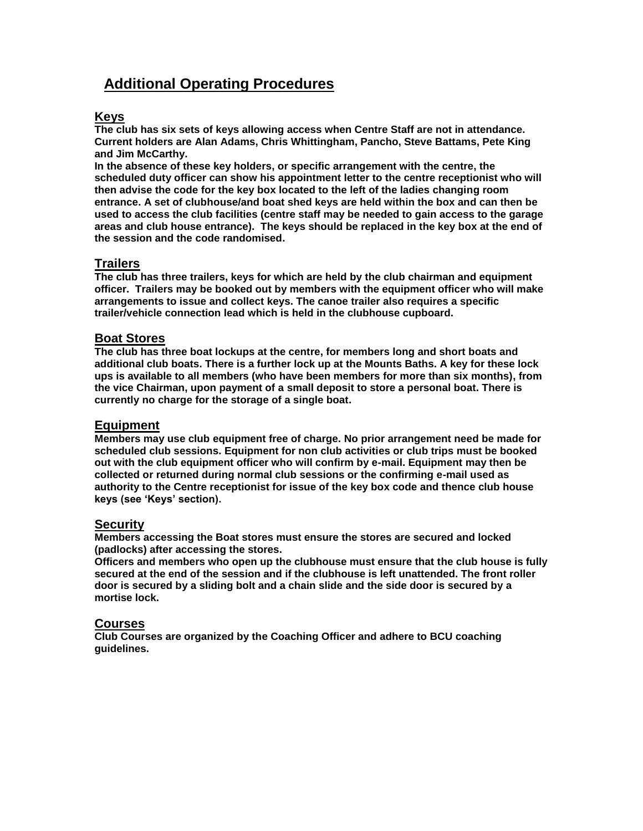## **Additional Operating Procedures**

## **Keys**

**The club has six sets of keys allowing access when Centre Staff are not in attendance. Current holders are Alan Adams, Chris Whittingham, Pancho, Steve Battams, Pete King and Jim McCarthy.**

**In the absence of these key holders, or specific arrangement with the centre, the scheduled duty officer can show his appointment letter to the centre receptionist who will then advise the code for the key box located to the left of the ladies changing room entrance. A set of clubhouse/and boat shed keys are held within the box and can then be used to access the club facilities (centre staff may be needed to gain access to the garage areas and club house entrance). The keys should be replaced in the key box at the end of the session and the code randomised.**

## **Trailers**

**The club has three trailers, keys for which are held by the club chairman and equipment officer. Trailers may be booked out by members with the equipment officer who will make arrangements to issue and collect keys. The canoe trailer also requires a specific trailer/vehicle connection lead which is held in the clubhouse cupboard.** 

### **Boat Stores**

**The club has three boat lockups at the centre, for members long and short boats and additional club boats. There is a further lock up at the Mounts Baths. A key for these lock ups is available to all members (who have been members for more than six months), from the vice Chairman, upon payment of a small deposit to store a personal boat. There is currently no charge for the storage of a single boat.**

### **Equipment**

**Members may use club equipment free of charge. No prior arrangement need be made for scheduled club sessions. Equipment for non club activities or club trips must be booked out with the club equipment officer who will confirm by e-mail. Equipment may then be collected or returned during normal club sessions or the confirming e-mail used as authority to the Centre receptionist for issue of the key box code and thence club house keys (see 'Keys' section).**

#### **Security**

**Members accessing the Boat stores must ensure the stores are secured and locked (padlocks) after accessing the stores.**

**Officers and members who open up the clubhouse must ensure that the club house is fully secured at the end of the session and if the clubhouse is left unattended. The front roller door is secured by a sliding bolt and a chain slide and the side door is secured by a mortise lock.**

### **Courses**

**Club Courses are organized by the Coaching Officer and adhere to BCU coaching guidelines.**